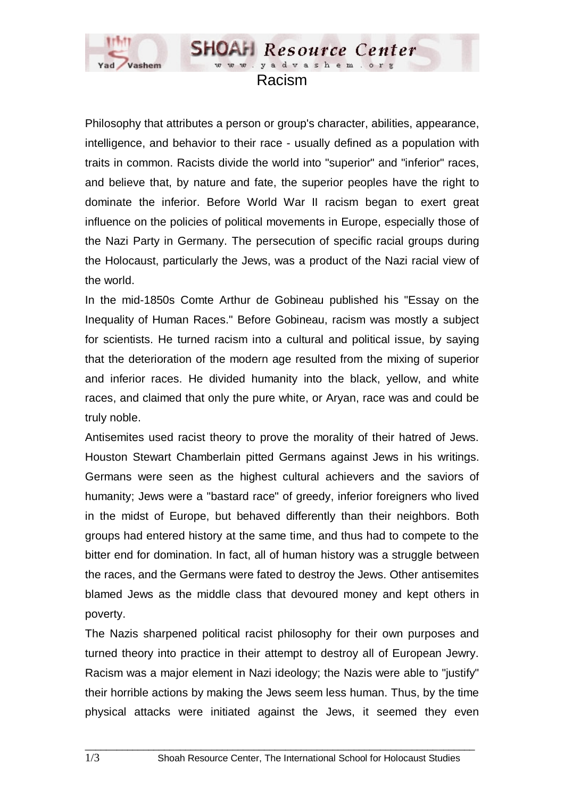

## Racism

www.vadvashem.

**SHOAH** Resource Center

Philosophy that attributes a person or group's character, abilities, appearance, intelligence, and behavior to their race - usually defined as a population with traits in common. Racists divide the world into "superior" and "inferior" races, and believe that, by nature and fate, the superior peoples have the right to dominate the inferior. Before World War II racism began to exert great influence on the policies of political movements in Europe, especially those of the Nazi Party in Germany. The persecution of specific racial groups during the Holocaust, particularly the Jews, was a product of the Nazi racial view of the world.

In the mid-1850s Comte Arthur de Gobineau published his "Essay on the Inequality of Human Races." Before Gobineau, racism was mostly a subject for scientists. He turned racism into a cultural and political issue, by saying that the deterioration of the modern age resulted from the mixing of superior and inferior races. He divided humanity into the black, yellow, and white races, and claimed that only the pure white, or Aryan, race was and could be truly noble.

Antisemites used racist theory to prove the morality of their hatred of Jews. Houston Stewart Chamberlain pitted Germans against Jews in his writings. Germans were seen as the highest cultural achievers and the saviors of humanity; Jews were a "bastard race" of greedy, inferior foreigners who lived in the midst of Europe, but behaved differently than their neighbors. Both groups had entered history at the same time, and thus had to compete to the bitter end for domination. In fact, all of human history was a struggle between the races, and the Germans were fated to destroy the Jews. Other antisemites blamed Jews as the middle class that devoured money and kept others in poverty.

The Nazis sharpened political racist philosophy for their own purposes and turned theory into practice in their attempt to destroy all of European Jewry. Racism was a major element in Nazi ideology; the Nazis were able to "justify" their horrible actions by making the Jews seem less human. Thus, by the time physical attacks were initiated against the Jews, it seemed they even

 $\_$  ,  $\_$  ,  $\_$  ,  $\_$  ,  $\_$  ,  $\_$  ,  $\_$  ,  $\_$  ,  $\_$  ,  $\_$  ,  $\_$  ,  $\_$  ,  $\_$  ,  $\_$  ,  $\_$  ,  $\_$  ,  $\_$  ,  $\_$  ,  $\_$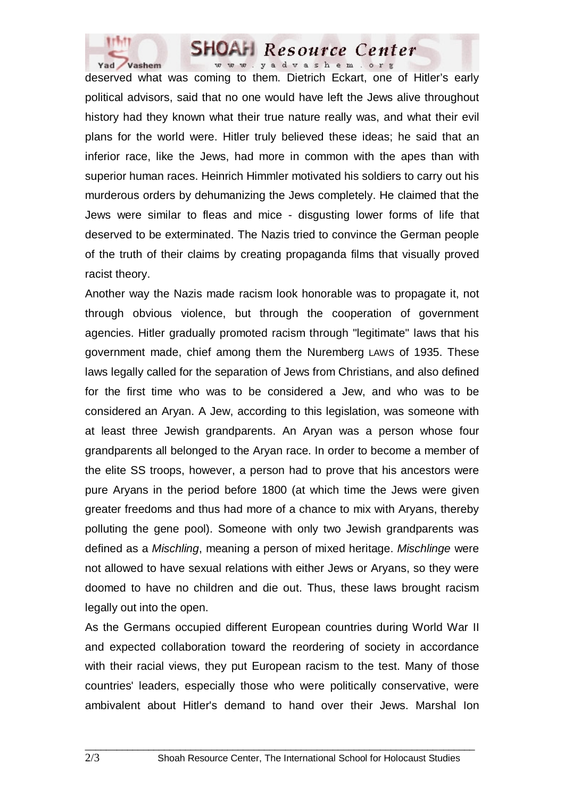

## **SHOAH** Resource Center www.yadvashem.org

deserved what was coming to them. Dietrich Eckart, one of Hitler's early political advisors, said that no one would have left the Jews alive throughout history had they known what their true nature really was, and what their evil plans for the world were. Hitler truly believed these ideas; he said that an inferior race, like the Jews, had more in common with the apes than with superior human races. Heinrich Himmler motivated his soldiers to carry out his murderous orders by dehumanizing the Jews completely. He claimed that the Jews were similar to fleas and mice - disgusting lower forms of life that deserved to be exterminated. The Nazis tried to convince the German people of the truth of their claims by creating propaganda films that visually proved racist theory.

Another way the Nazis made racism look honorable was to propagate it, not through obvious violence, but through the cooperation of government agencies. Hitler gradually promoted racism through "legitimate" laws that his government made, chief among them the Nuremberg LAWS of 1935. These laws legally called for the separation of Jews from Christians, and also defined for the first time who was to be considered a Jew, and who was to be considered an Aryan. A Jew, according to this legislation, was someone with at least three Jewish grandparents. An Aryan was a person whose four grandparents all belonged to the Aryan race. In order to become a member of the elite SS troops, however, a person had to prove that his ancestors were pure Aryans in the period before 1800 (at which time the Jews were given greater freedoms and thus had more of a chance to mix with Aryans, thereby polluting the gene pool). Someone with only two Jewish grandparents was defined as a *Mischling*, meaning a person of mixed heritage. *Mischlinge* were not allowed to have sexual relations with either Jews or Aryans, so they were doomed to have no children and die out. Thus, these laws brought racism legally out into the open.

As the Germans occupied different European countries during World War II and expected collaboration toward the reordering of society in accordance with their racial views, they put European racism to the test. Many of those countries' leaders, especially those who were politically conservative, were ambivalent about Hitler's demand to hand over their Jews. Marshal Ion

 $\_$  ,  $\_$  ,  $\_$  ,  $\_$  ,  $\_$  ,  $\_$  ,  $\_$  ,  $\_$  ,  $\_$  ,  $\_$  ,  $\_$  ,  $\_$  ,  $\_$  ,  $\_$  ,  $\_$  ,  $\_$  ,  $\_$  ,  $\_$  ,  $\_$